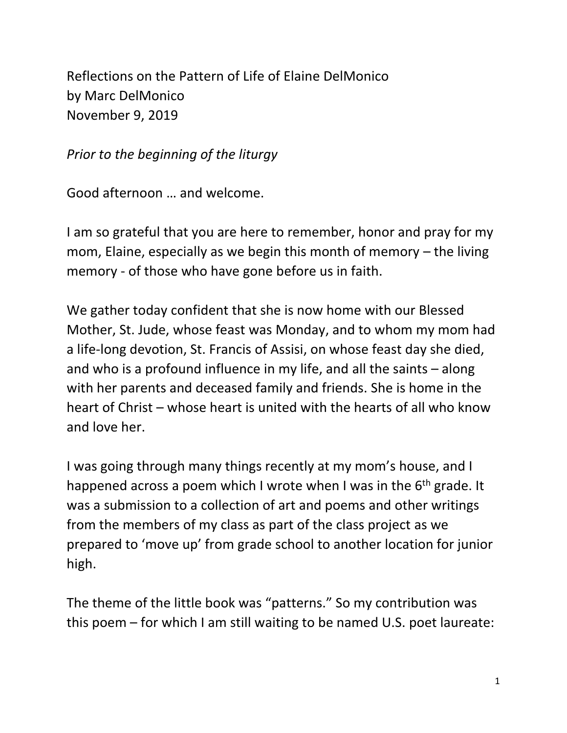Reflections on the Pattern of Life of Elaine DelMonico by Marc DelMonico November 9, 2019

*Prior to the beginning of the liturgy*

Good afternoon … and welcome.

I am so grateful that you are here to remember, honor and pray for my mom, Elaine, especially as we begin this month of memory – the living memory - of those who have gone before us in faith.

We gather today confident that she is now home with our Blessed Mother, St. Jude, whose feast was Monday, and to whom my mom had a life-long devotion, St. Francis of Assisi, on whose feast day she died, and who is a profound influence in my life, and all the saints – along with her parents and deceased family and friends. She is home in the heart of Christ – whose heart is united with the hearts of all who know and love her.

I was going through many things recently at my mom's house, and I happened across a poem which I wrote when I was in the 6<sup>th</sup> grade. It was a submission to a collection of art and poems and other writings from the members of my class as part of the class project as we prepared to 'move up' from grade school to another location for junior high.

The theme of the little book was "patterns." So my contribution was this poem – for which I am still waiting to be named U.S. poet laureate: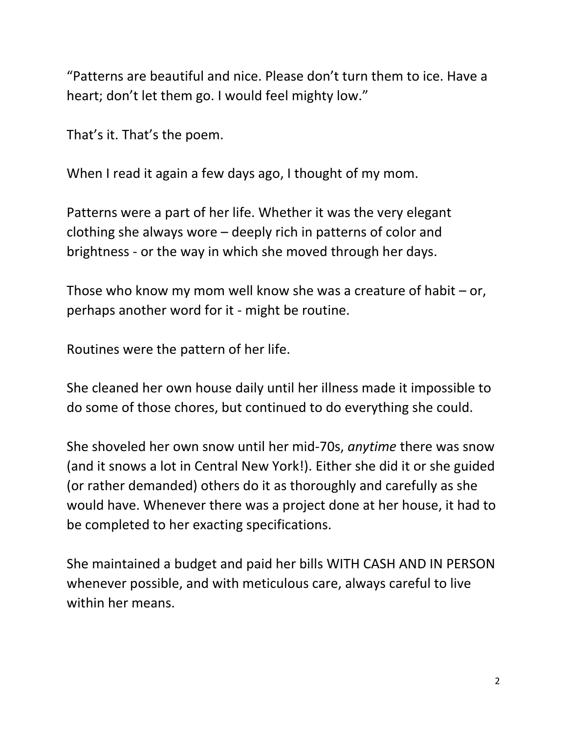"Patterns are beautiful and nice. Please don't turn them to ice. Have a heart; don't let them go. I would feel mighty low."

That's it. That's the poem.

When I read it again a few days ago, I thought of my mom.

Patterns were a part of her life. Whether it was the very elegant clothing she always wore – deeply rich in patterns of color and brightness - or the way in which she moved through her days.

Those who know my mom well know she was a creature of habit – or, perhaps another word for it - might be routine.

Routines were the pattern of her life.

She cleaned her own house daily until her illness made it impossible to do some of those chores, but continued to do everything she could.

She shoveled her own snow until her mid-70s, *anytime* there was snow (and it snows a lot in Central New York!). Either she did it or she guided (or rather demanded) others do it as thoroughly and carefully as she would have. Whenever there was a project done at her house, it had to be completed to her exacting specifications.

She maintained a budget and paid her bills WITH CASH AND IN PERSON whenever possible, and with meticulous care, always careful to live within her means.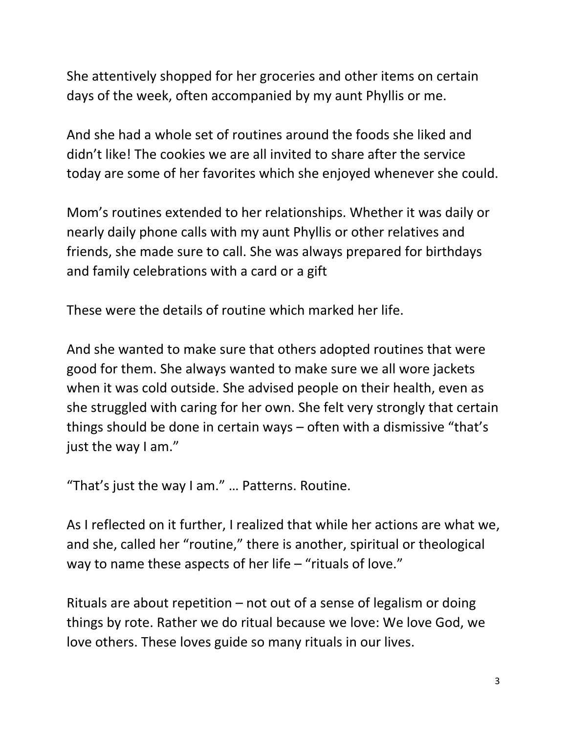She attentively shopped for her groceries and other items on certain days of the week, often accompanied by my aunt Phyllis or me.

And she had a whole set of routines around the foods she liked and didn't like! The cookies we are all invited to share after the service today are some of her favorites which she enjoyed whenever she could.

Mom's routines extended to her relationships. Whether it was daily or nearly daily phone calls with my aunt Phyllis or other relatives and friends, she made sure to call. She was always prepared for birthdays and family celebrations with a card or a gift

These were the details of routine which marked her life.

And she wanted to make sure that others adopted routines that were good for them. She always wanted to make sure we all wore jackets when it was cold outside. She advised people on their health, even as she struggled with caring for her own. She felt very strongly that certain things should be done in certain ways – often with a dismissive "that's just the way I am."

"That's just the way I am." … Patterns. Routine.

As I reflected on it further, I realized that while her actions are what we, and she, called her "routine," there is another, spiritual or theological way to name these aspects of her life – "rituals of love."

Rituals are about repetition – not out of a sense of legalism or doing things by rote. Rather we do ritual because we love: We love God, we love others. These loves guide so many rituals in our lives.